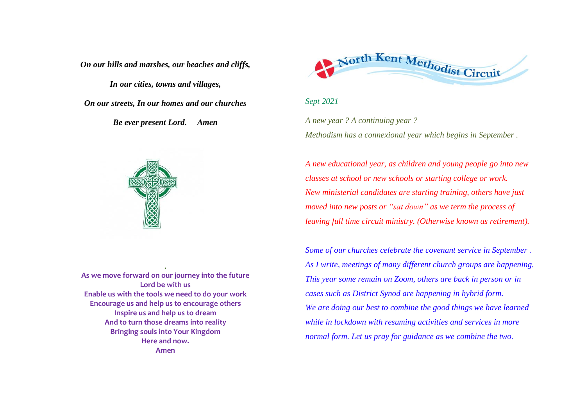*On our hills and marshes, our beaches and cliffs,*

*In our cities, towns and villages,*

*On our streets, In our homes and our churches*

*Be ever present Lord. Amen*



**As we move forward on our journey into the future Lord be with us Enable us with the tools we need to do your work Encourage us and help us to encourage others Inspire us and help us to dream And to turn those dreams into reality Bringing souls into Your Kingdom Here and now. Amen**

**.**



## *Sept 2021*

*A new year ? A continuing year ? Methodism has a connexional year which begins in September .*

*A new educational year, as children and young people go into new classes at school or new schools or starting college or work. New ministerial candidates are starting training, others have just moved into new posts or "sat down" as we term the process of leaving full time circuit ministry. (Otherwise known as retirement).*

*Some of our churches celebrate the covenant service in September . As I write, meetings of many different church groups are happening. This year some remain on Zoom, others are back in person or in cases such as District Synod are happening in hybrid form. We are doing our best to combine the good things we have learned while in lockdown with resuming activities and services in more normal form. Let us pray for guidance as we combine the two.*